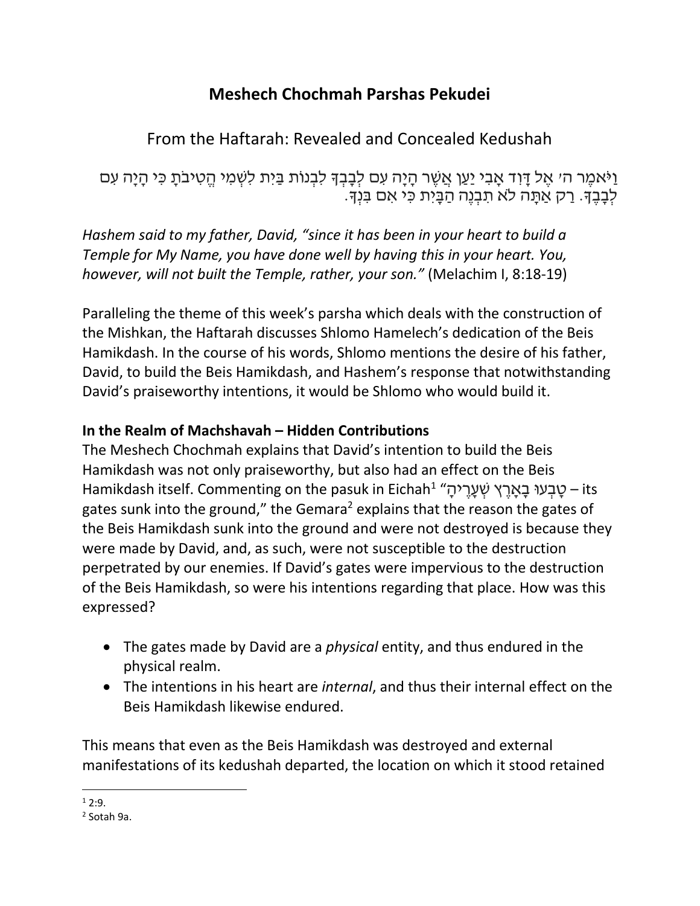## **Meshech Chochmah Parshas Pekudei**

# From the Haftarah: Revealed and Concealed Kedushah

וַיֹּאמֶר ה׳ אֵל דָּוִד אָבִי יַעַן אֲשֶׁר הָיָה עִם לִבָּבְךָּ לִבְנוֹת בַּיִת לִשְׁמִי הֵטְיבֹתָ כִּי הָיָה עִם לְבָבֶךָ. רַק אַתַּה לֹא תִבְנֶה הַבְּיָת כִּי אִם בִּנְךָ.

*Hashem said to my father, David, "since it has been in your heart to build a Temple for My Name, you have done well by having this in your heart. You, however, will not built the Temple, rather, your son."* (Melachim I, 8:18-19)

Paralleling the theme of this week's parsha which deals with the construction of the Mishkan, the Haftarah discusses Shlomo Hamelech's dedication of the Beis Hamikdash. In the course of his words, Shlomo mentions the desire of his father, David, to build the Beis Hamikdash, and Hashem's response that notwithstanding David's praiseworthy intentions, it would be Shlomo who would build it.

## **In the Realm of Machshavah – Hidden Contributions**

The Meshech Chochmah explains that David's intention to build the Beis Hamikdash was not only praiseworthy, but also had an effect on the Beis Hamikdash itself. Commenting on the pasuk in Eichah $^1$  "שְׁעָרֶיהָ – its – שְׁבְעוּ בָאָרֶץ שְׁעָרֶיהָ gates sunk into the ground," the Gemara<sup>2</sup> explains that the reason the gates of the Beis Hamikdash sunk into the ground and were not destroyed is because they were made by David, and, as such, were not susceptible to the destruction perpetrated by our enemies. If David's gates were impervious to the destruction of the Beis Hamikdash, so were his intentions regarding that place. How was this expressed?

- The gates made by David are a *physical* entity, and thus endured in the physical realm.
- The intentions in his heart are *internal*, and thus their internal effect on the Beis Hamikdash likewise endured.

This means that even as the Beis Hamikdash was destroyed and external manifestations of its kedushah departed, the location on which it stood retained

l  $1, 2.9$ 

<sup>2</sup> Sotah 9a.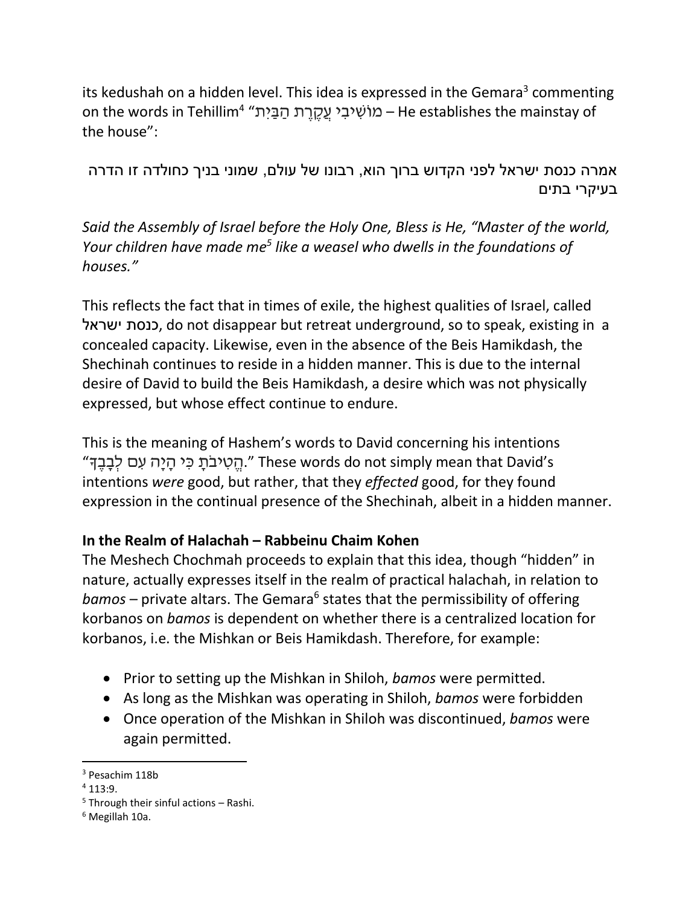its kedushah on a hidden level. This idea is expressed in the Gemara<sup>3</sup> commenting on the words in Tehillim<sup>4</sup> "מוֹשִׁיבִי עֲקֶרֶת הַבַּיִת – He establishes the mainstay of the house":

אמרה כנסת ישראל לפני הקדוש ברוך הוא, רבונו של עולם, שמוני בניך כחולדה זו הדרה בעיקרי בתים

*Said the Assembly of Israel before the Holy One, Bless is He, "Master of the world, Your children have made me<sup>5</sup> like a weasel who dwells in the foundations of houses."*

This reflects the fact that in times of exile, the highest qualities of Israel, called ישראל כנסת, do not disappear but retreat underground, so to speak, existing in a concealed capacity. Likewise, even in the absence of the Beis Hamikdash, the Shechinah continues to reside in a hidden manner. This is due to the internal desire of David to build the Beis Hamikdash, a desire which was not physically expressed, but whose effect continue to endure.

This is the meaning of Hashem's words to David concerning his intentions "הַטִיבֹתַ כִּי הַיָּה עָם לִבְבֵדּ. These words do not simply mean that David's intentions *were* good, but rather, that they *effected* good, for they found expression in the continual presence of the Shechinah, albeit in a hidden manner.

### **In the Realm of Halachah – Rabbeinu Chaim Kohen**

The Meshech Chochmah proceeds to explain that this idea, though "hidden" in nature, actually expresses itself in the realm of practical halachah, in relation to bamos – private altars. The Gemara<sup>6</sup> states that the permissibility of offering korbanos on *bamos* is dependent on whether there is a centralized location for korbanos, i.e. the Mishkan or Beis Hamikdash. Therefore, for example:

- Prior to setting up the Mishkan in Shiloh, *bamos* were permitted.
- As long as the Mishkan was operating in Shiloh, *bamos* were forbidden
- Once operation of the Mishkan in Shiloh was discontinued, *bamos* were again permitted.

 $\overline{a}$ <sup>3</sup> Pesachim 118b

 $4113:9$ .

 $5$  Through their sinful actions – Rashi.

<sup>6</sup> Megillah 10a.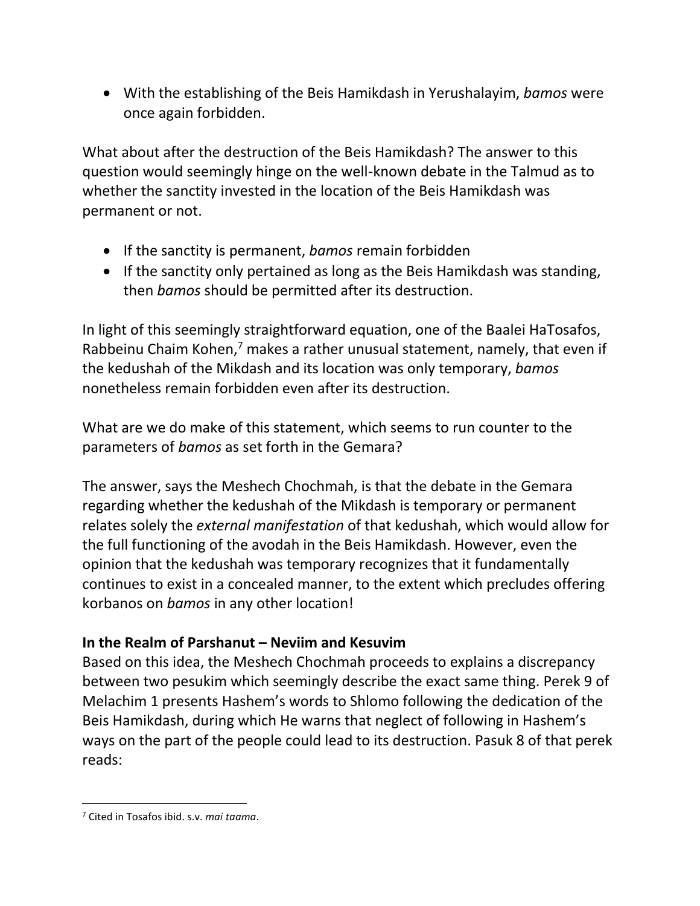With the establishing of the Beis Hamikdash in Yerushalayim, *bamos* were once again forbidden.

What about after the destruction of the Beis Hamikdash? The answer to this question would seemingly hinge on the well-known debate in the Talmud as to whether the sanctity invested in the location of the Beis Hamikdash was permanent or not.

- If the sanctity is permanent, *bamos* remain forbidden
- If the sanctity only pertained as long as the Beis Hamikdash was standing, then *bamos* should be permitted after its destruction.

In light of this seemingly straightforward equation, one of the Baalei HaTosafos, Rabbeinu Chaim Kohen,<sup>7</sup> makes a rather unusual statement, namely, that even if the kedushah of the Mikdash and its location was only temporary, *bamos* nonetheless remain forbidden even after its destruction.

What are we do make of this statement, which seems to run counter to the parameters of *bamos* as set forth in the Gemara?

The answer, says the Meshech Chochmah, is that the debate in the Gemara regarding whether the kedushah of the Mikdash is temporary or permanent relates solely the *external manifestation* of that kedushah, which would allow for the full functioning of the avodah in the Beis Hamikdash. However, even the opinion that the kedushah was temporary recognizes that it fundamentally continues to exist in a concealed manner, to the extent which precludes offering korbanos on *bamos* in any other location!

#### **In the Realm of Parshanut – Neviim and Kesuvim**

Based on this idea, the Meshech Chochmah proceeds to explains a discrepancy between two pesukim which seemingly describe the exact same thing. Perek 9 of Melachim 1 presents Hashem's words to Shlomo following the dedication of the Beis Hamikdash, during which He warns that neglect of following in Hashem's ways on the part of the people could lead to its destruction. Pasuk 8 of that perek reads:

 $\overline{\phantom{a}}$ 

<sup>7</sup> Cited in Tosafos ibid. s.v. *mai taama*.